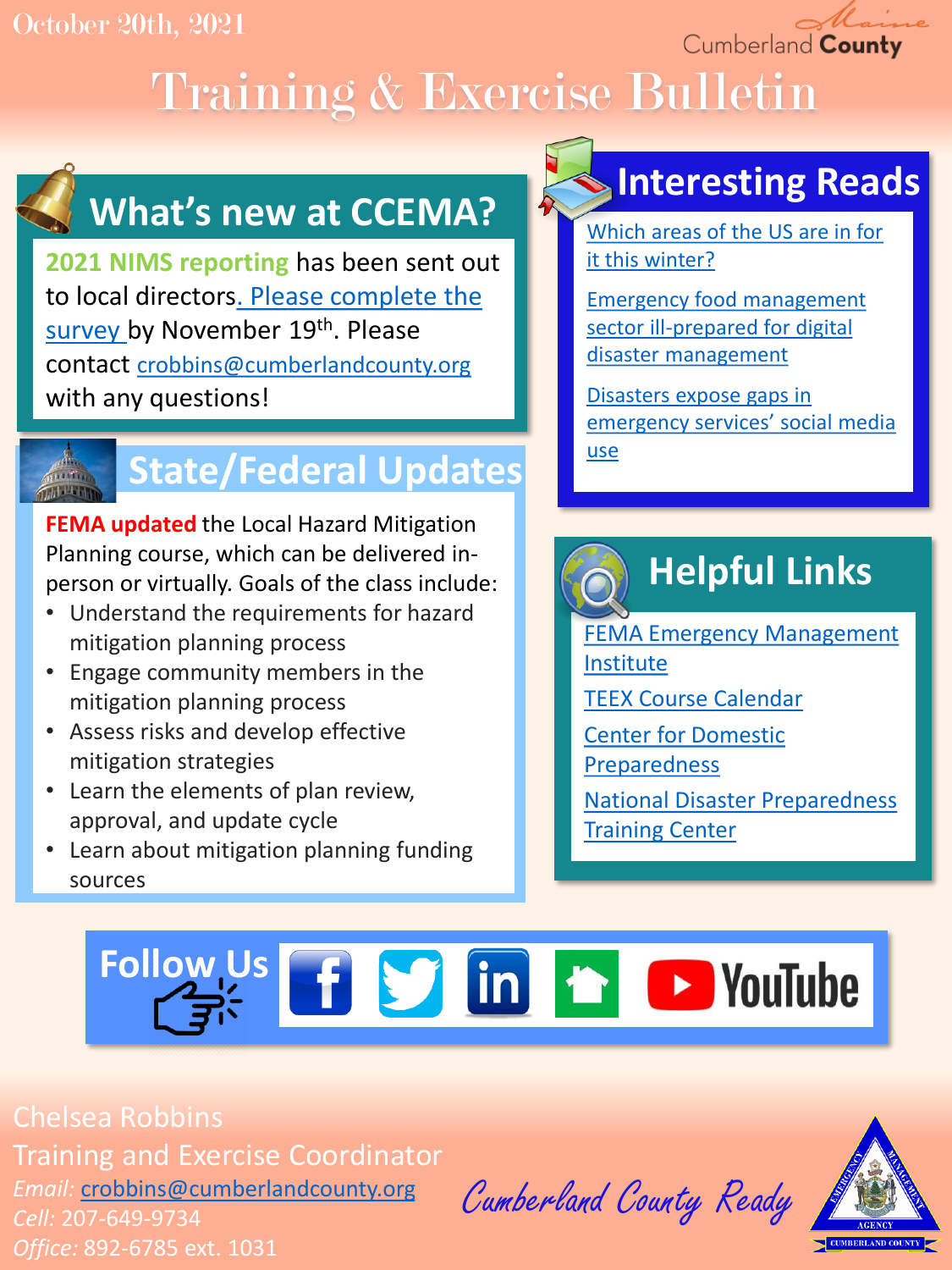### October 20th, 2021

Cumberland County

# Training & Exercise Bulletin

# **What's new at CCEMA?**

**2021 NIMS reporting** has been sent out [to local directors. Please complete the](https://docs.google.com/forms/d/e/1FAIpQLSe03qLRsoO81TlkULO_jBGKXiDMP0vXdp_tVt7ul07PG1hTGw/viewform?usp=sf_link)  survey by November 19th. Please contact [crobbins@cumberlandcounty.org](mailto:crobbins@cumberlandcounty.org) with any questions!



## **State/Federal Updates**

**FEMA updated** the Local Hazard Mitigation Planning course, which can be delivered inperson or virtually. Goals of the class include:

- Understand the requirements for hazard mitigation planning process
- Engage community members in the mitigation planning process
- Assess risks and develop effective mitigation strategies
- Learn the elements of plan review, approval, and update cycle
- Learn about mitigation planning funding sources

# **Interesting Reads**

[Which areas of the US are in for](https://www.accuweather.com/en/winter-weather/accuweathers-2021-2022-us-winter-forecast/1022887)  it this winter?

Emergency food management [sector ill-prepared for digital](https://medicalxpress.com/news/2021-10-emergency-food-sector-ill-prepared-digital.html)  disaster management

Disasters expose gaps in [emergency services' social media](https://theconversation.com/disasters-expose-gaps-in-emergency-services-social-media-use-134912) use

# **Helpful Links**

[FEMA Emergency Management](https://training.fema.gov/is/) Institute

- [TEEX Course Calendar](https://teex.org/course-calendar/)
- [Center for Domestic](https://cdp.dhs.gov/)  Preparedness

[National Disaster Preparedness](https://ndptc.hawaii.edu/training/)  **Training Center** 

# **Follow Us f S** in **h D** YouTube

Chelsea Robbins Training and Exercise Coordinator *Email:* [crobbins@cumberlandcounty.org](mailto:crobbins@cumberlandcounty.org) *Cell:* 207-649-9734 *Office:* 892-6785 ext. 1031

Cumberland County Ready